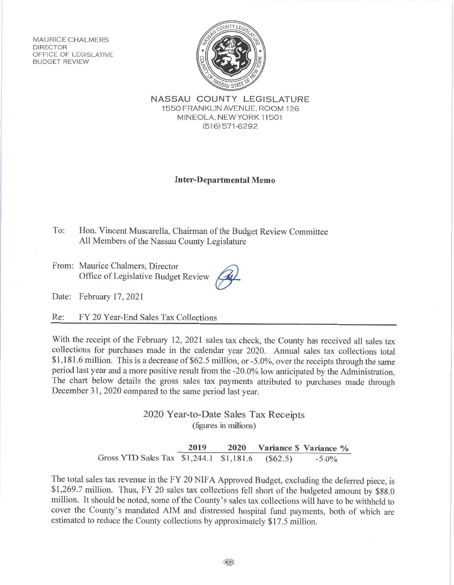**MAURICE CHALMERS DIRECTOR** OFFICE OF LEGISLATIVE **BUDGET REVIEW** 



NASSAU COUNTY LEGISLATURE 1550 FRANKLIN AVENUE, ROOM 126 MINEOLA, NEW YORK 11501  $(516)$  571-6292

## **Inter-Departmental Memo**

To: Hon. Vincent Muscarella, Chairman of the Budget Review Committee All Members of the Nassau County Legislature

From: Maurice Chalmers, Director Office of Legislative Budget Review

Date: February 17, 2021

Re: FY 20 Year-End Sales Tax Collections

With the receipt of the February 12, 2021 sales tax check, the County has received all sales tax collections for purchases made in the calendar year 2020. Annual sales tax collections total \$1,181.6 million. This is a decrease of \$62.5 million, or -5.0%, over the receipts through the same period last year and a more positive result from the -20.0% low anticipated by the Administration. The chart below details the gross sales tax payments attributed to purchases made through December 31, 2020 compared to the same period last year.

> 2020 Year-to-Date Sales Tax Receipts (figures in millions)

2019 2020 Variance \$ Variance % Gross YTD Sales Tax \$1,244.1 \$1,181.6  $(\$62.5)$  $-5.0%$ 

The total sales tax revenue in the FY 20 NIFA Approved Budget, excluding the deferred piece, is \$1,269.7 million. Thus, FY 20 sales tax collections fell short of the budgeted amount by \$88.0 million. It should be noted, some of the County's sales tax collections will have to be withheld to cover the County's mandated AIM and distressed hospital fund payments, both of which are estimated to reduce the County collections by approximately \$17.5 million.